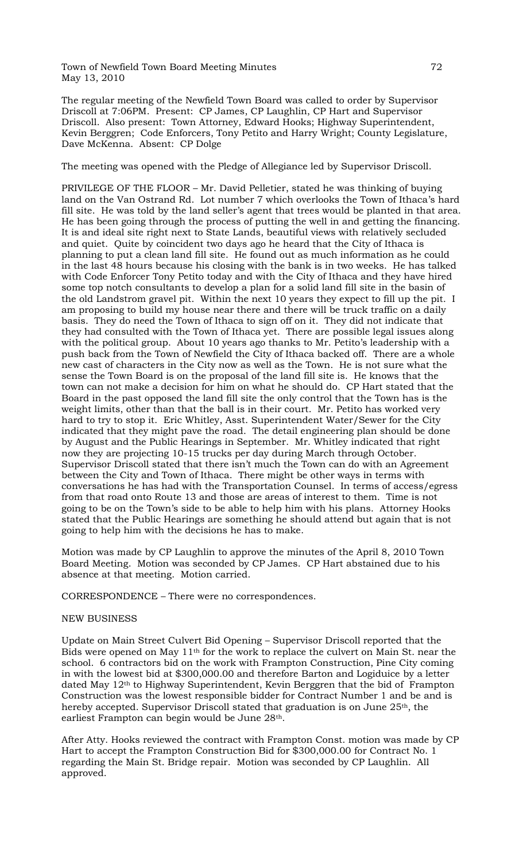Town of Newfield Town Board Meeting Minutes 72 May 13, 2010

The regular meeting of the Newfield Town Board was called to order by Supervisor Driscoll at 7:06PM. Present: CP James, CP Laughlin, CP Hart and Supervisor Driscoll. Also present: Town Attorney, Edward Hooks; Highway Superintendent, Kevin Berggren; Code Enforcers, Tony Petito and Harry Wright; County Legislature, Dave McKenna. Absent: CP Dolge

The meeting was opened with the Pledge of Allegiance led by Supervisor Driscoll.

PRIVILEGE OF THE FLOOR – Mr. David Pelletier, stated he was thinking of buying land on the Van Ostrand Rd. Lot number 7 which overlooks the Town of Ithaca's hard fill site. He was told by the land seller's agent that trees would be planted in that area. He has been going through the process of putting the well in and getting the financing. It is and ideal site right next to State Lands, beautiful views with relatively secluded and quiet. Quite by coincident two days ago he heard that the City of Ithaca is planning to put a clean land fill site. He found out as much information as he could in the last 48 hours because his closing with the bank is in two weeks. He has talked with Code Enforcer Tony Petito today and with the City of Ithaca and they have hired some top notch consultants to develop a plan for a solid land fill site in the basin of the old Landstrom gravel pit. Within the next 10 years they expect to fill up the pit. I am proposing to build my house near there and there will be truck traffic on a daily basis. They do need the Town of Ithaca to sign off on it. They did not indicate that they had consulted with the Town of Ithaca yet. There are possible legal issues along with the political group. About 10 years ago thanks to Mr. Petito's leadership with a push back from the Town of Newfield the City of Ithaca backed off. There are a whole new cast of characters in the City now as well as the Town. He is not sure what the sense the Town Board is on the proposal of the land fill site is. He knows that the town can not make a decision for him on what he should do. CP Hart stated that the Board in the past opposed the land fill site the only control that the Town has is the weight limits, other than that the ball is in their court. Mr. Petito has worked very hard to try to stop it. Eric Whitley, Asst. Superintendent Water/Sewer for the City indicated that they might pave the road. The detail engineering plan should be done by August and the Public Hearings in September. Mr. Whitley indicated that right now they are projecting 10-15 trucks per day during March through October. Supervisor Driscoll stated that there isn't much the Town can do with an Agreement between the City and Town of Ithaca. There might be other ways in terms with conversations he has had with the Transportation Counsel. In terms of access/egress from that road onto Route 13 and those are areas of interest to them. Time is not going to be on the Town's side to be able to help him with his plans. Attorney Hooks stated that the Public Hearings are something he should attend but again that is not going to help him with the decisions he has to make.

Motion was made by CP Laughlin to approve the minutes of the April 8, 2010 Town Board Meeting. Motion was seconded by CP James. CP Hart abstained due to his absence at that meeting. Motion carried.

CORRESPONDENCE – There were no correspondences.

### NEW BUSINESS

Update on Main Street Culvert Bid Opening – Supervisor Driscoll reported that the Bids were opened on May 11th for the work to replace the culvert on Main St. near the school. 6 contractors bid on the work with Frampton Construction, Pine City coming in with the lowest bid at \$300,000.00 and therefore Barton and Logiduice by a letter dated May 12<sup>th</sup> to Highway Superintendent, Kevin Berggren that the bid of Frampton Construction was the lowest responsible bidder for Contract Number 1 and be and is hereby accepted. Supervisor Driscoll stated that graduation is on June 25<sup>th</sup>, the earliest Frampton can begin would be June 28th.

After Atty. Hooks reviewed the contract with Frampton Const. motion was made by CP Hart to accept the Frampton Construction Bid for \$300,000.00 for Contract No. 1 regarding the Main St. Bridge repair. Motion was seconded by CP Laughlin. All approved.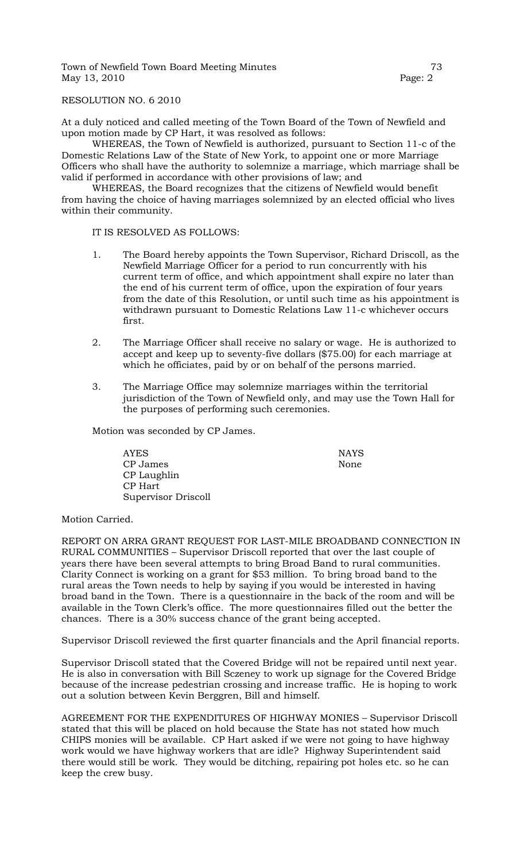Town of Newfield Town Board Meeting Minutes 73 May 13, 2010 **Page: 2** 

RESOLUTION NO. 6 2010

At a duly noticed and called meeting of the Town Board of the Town of Newfield and upon motion made by CP Hart, it was resolved as follows:

WHEREAS, the Town of Newfield is authorized, pursuant to Section 11-c of the Domestic Relations Law of the State of New York, to appoint one or more Marriage Officers who shall have the authority to solemnize a marriage, which marriage shall be valid if performed in accordance with other provisions of law; and

WHEREAS, the Board recognizes that the citizens of Newfield would benefit from having the choice of having marriages solemnized by an elected official who lives within their community.

IT IS RESOLVED AS FOLLOWS:

- 1. The Board hereby appoints the Town Supervisor, Richard Driscoll, as the Newfield Marriage Officer for a period to run concurrently with his current term of office, and which appointment shall expire no later than the end of his current term of office, upon the expiration of four years from the date of this Resolution, or until such time as his appointment is withdrawn pursuant to Domestic Relations Law 11-c whichever occurs first.
- 2. The Marriage Officer shall receive no salary or wage. He is authorized to accept and keep up to seventy-five dollars (\$75.00) for each marriage at which he officiates, paid by or on behalf of the persons married.
- 3. The Marriage Office may solemnize marriages within the territorial jurisdiction of the Town of Newfield only, and may use the Town Hall for the purposes of performing such ceremonies.

Motion was seconded by CP James.

AYES NAYS CP James None CP Laughlin CP Hart Supervisor Driscoll

Motion Carried.

REPORT ON ARRA GRANT REQUEST FOR LAST-MILE BROADBAND CONNECTION IN RURAL COMMUNITIES – Supervisor Driscoll reported that over the last couple of years there have been several attempts to bring Broad Band to rural communities. Clarity Connect is working on a grant for \$53 million. To bring broad band to the rural areas the Town needs to help by saying if you would be interested in having broad band in the Town. There is a questionnaire in the back of the room and will be available in the Town Clerk's office. The more questionnaires filled out the better the chances. There is a 30% success chance of the grant being accepted.

Supervisor Driscoll reviewed the first quarter financials and the April financial reports.

Supervisor Driscoll stated that the Covered Bridge will not be repaired until next year. He is also in conversation with Bill Sczeney to work up signage for the Covered Bridge because of the increase pedestrian crossing and increase traffic. He is hoping to work out a solution between Kevin Berggren, Bill and himself.

AGREEMENT FOR THE EXPENDITURES OF HIGHWAY MONIES – Supervisor Driscoll stated that this will be placed on hold because the State has not stated how much CHIPS monies will be available. CP Hart asked if we were not going to have highway work would we have highway workers that are idle? Highway Superintendent said there would still be work. They would be ditching, repairing pot holes etc. so he can keep the crew busy.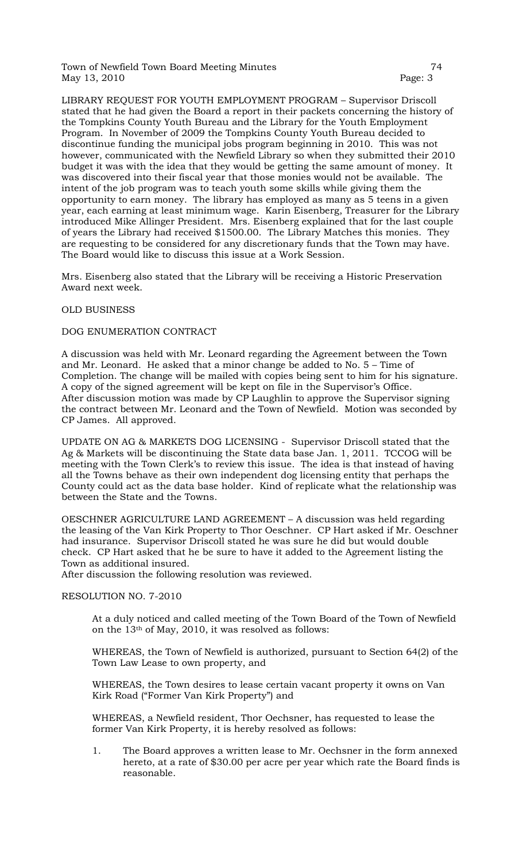Town of Newfield Town Board Meeting Minutes 74 May 13, 2010 **Page: 3** 

LIBRARY REQUEST FOR YOUTH EMPLOYMENT PROGRAM – Supervisor Driscoll stated that he had given the Board a report in their packets concerning the history of the Tompkins County Youth Bureau and the Library for the Youth Employment Program. In November of 2009 the Tompkins County Youth Bureau decided to discontinue funding the municipal jobs program beginning in 2010. This was not however, communicated with the Newfield Library so when they submitted their 2010 budget it was with the idea that they would be getting the same amount of money. It was discovered into their fiscal year that those monies would not be available. The intent of the job program was to teach youth some skills while giving them the opportunity to earn money. The library has employed as many as 5 teens in a given year, each earning at least minimum wage. Karin Eisenberg, Treasurer for the Library introduced Mike Allinger President. Mrs. Eisenberg explained that for the last couple of years the Library had received \$1500.00. The Library Matches this monies. They are requesting to be considered for any discretionary funds that the Town may have. The Board would like to discuss this issue at a Work Session.

Mrs. Eisenberg also stated that the Library will be receiving a Historic Preservation Award next week.

## OLD BUSINESS

# DOG ENUMERATION CONTRACT

A discussion was held with Mr. Leonard regarding the Agreement between the Town and Mr. Leonard. He asked that a minor change be added to No. 5 – Time of Completion. The change will be mailed with copies being sent to him for his signature. A copy of the signed agreement will be kept on file in the Supervisor's Office. After discussion motion was made by CP Laughlin to approve the Supervisor signing the contract between Mr. Leonard and the Town of Newfield. Motion was seconded by CP James. All approved.

UPDATE ON AG & MARKETS DOG LICENSING - Supervisor Driscoll stated that the Ag & Markets will be discontinuing the State data base Jan. 1, 2011. TCCOG will be meeting with the Town Clerk's to review this issue. The idea is that instead of having all the Towns behave as their own independent dog licensing entity that perhaps the County could act as the data base holder. Kind of replicate what the relationship was between the State and the Towns.

OESCHNER AGRICULTURE LAND AGREEMENT – A discussion was held regarding the leasing of the Van Kirk Property to Thor Oeschner. CP Hart asked if Mr. Oeschner had insurance. Supervisor Driscoll stated he was sure he did but would double check. CP Hart asked that he be sure to have it added to the Agreement listing the Town as additional insured.

After discussion the following resolution was reviewed.

## RESOLUTION NO. 7-2010

At a duly noticed and called meeting of the Town Board of the Town of Newfield on the 13th of May, 2010, it was resolved as follows:

WHEREAS, the Town of Newfield is authorized, pursuant to Section 64(2) of the Town Law Lease to own property, and

WHEREAS, the Town desires to lease certain vacant property it owns on Van Kirk Road ("Former Van Kirk Property") and

WHEREAS, a Newfield resident, Thor Oechsner, has requested to lease the former Van Kirk Property, it is hereby resolved as follows:

1. The Board approves a written lease to Mr. Oechsner in the form annexed hereto, at a rate of \$30.00 per acre per year which rate the Board finds is reasonable.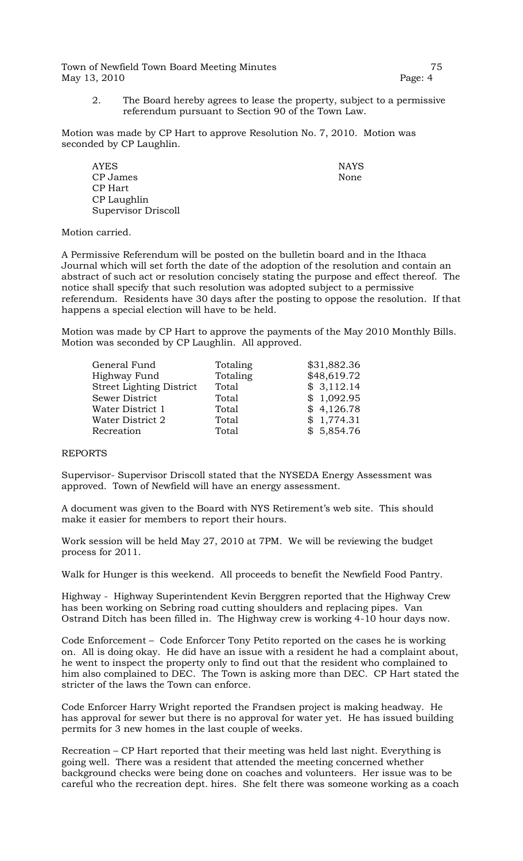Town of Newfield Town Board Meeting Minutes 75 May 13, 2010 Page: 4

- 
- 2. The Board hereby agrees to lease the property, subject to a permissive referendum pursuant to Section 90 of the Town Law.

Motion was made by CP Hart to approve Resolution No. 7, 2010. Motion was seconded by CP Laughlin.

AYES NAYS CP James None CP Hart CP Laughlin Supervisor Driscoll

Motion carried.

A Permissive Referendum will be posted on the bulletin board and in the Ithaca Journal which will set forth the date of the adoption of the resolution and contain an abstract of such act or resolution concisely stating the purpose and effect thereof. The notice shall specify that such resolution was adopted subject to a permissive referendum. Residents have 30 days after the posting to oppose the resolution. If that happens a special election will have to be held.

Motion was made by CP Hart to approve the payments of the May 2010 Monthly Bills. Motion was seconded by CP Laughlin. All approved.

| General Fund                    | Totaling | \$31,882.36 |
|---------------------------------|----------|-------------|
| Highway Fund                    | Totaling | \$48,619.72 |
| <b>Street Lighting District</b> | Total    | \$3,112.14  |
| Sewer District                  | Total    | \$1,092.95  |
| Water District 1                | Total    | \$4,126.78  |
| Water District 2                | Total    | \$1,774.31  |
| Recreation                      | Total    | \$5,854.76  |
|                                 |          |             |

### REPORTS

Supervisor- Supervisor Driscoll stated that the NYSEDA Energy Assessment was approved. Town of Newfield will have an energy assessment.

A document was given to the Board with NYS Retirement's web site. This should make it easier for members to report their hours.

Work session will be held May 27, 2010 at 7PM. We will be reviewing the budget process for 2011.

Walk for Hunger is this weekend. All proceeds to benefit the Newfield Food Pantry.

Highway - Highway Superintendent Kevin Berggren reported that the Highway Crew has been working on Sebring road cutting shoulders and replacing pipes. Van Ostrand Ditch has been filled in. The Highway crew is working 4-10 hour days now.

Code Enforcement – Code Enforcer Tony Petito reported on the cases he is working on. All is doing okay. He did have an issue with a resident he had a complaint about, he went to inspect the property only to find out that the resident who complained to him also complained to DEC. The Town is asking more than DEC. CP Hart stated the stricter of the laws the Town can enforce.

Code Enforcer Harry Wright reported the Frandsen project is making headway. He has approval for sewer but there is no approval for water yet. He has issued building permits for 3 new homes in the last couple of weeks.

Recreation – CP Hart reported that their meeting was held last night. Everything is going well. There was a resident that attended the meeting concerned whether background checks were being done on coaches and volunteers. Her issue was to be careful who the recreation dept. hires. She felt there was someone working as a coach